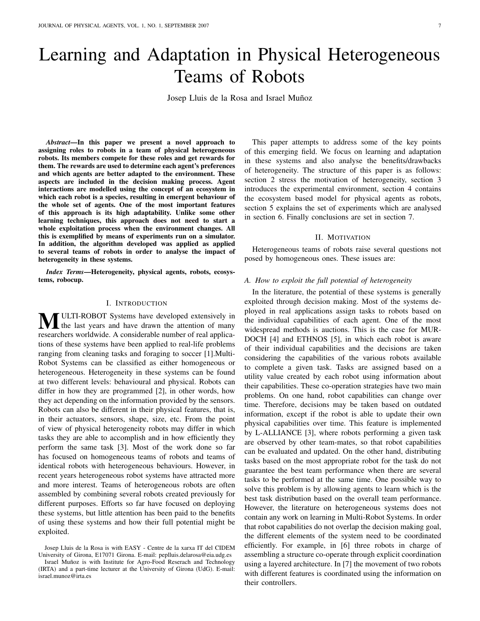# Learning and Adaptation in Physical Heterogeneous Teams of Robots

Josep Lluis de la Rosa and Israel Muñoz

*Abstract*—In this paper we present a novel approach to assigning roles to robots in a team of physical heterogeneous robots. Its members compete for these roles and get rewards for them. The rewards are used to determine each agent's preferences and which agents are better adapted to the environment. These aspects are included in the decision making process. Agent interactions are modelled using the concept of an ecosystem in which each robot is a species, resulting in emergent behaviour of the whole set of agents. One of the most important features of this approach is its high adaptability. Unlike some other learning techniques, this approach does not need to start a whole exploitation process when the environment changes. All this is exemplified by means of experiments run on a simulator. In addition, the algorithm developed was applied as applied to several teams of robots in order to analyse the impact of heterogeneity in these systems.

*Index Terms*—Heterogeneity, physical agents, robots, ecosystems, robocup.

#### I. INTRODUCTION

**MULTI-ROBOT** Systems have developed extensively in the last years and have drawn the attention of many according to the last of the last of the last of the last of the last of the last of the last of the last of the last researchers worldwide. A considerable number of real applications of these systems have been applied to real-life problems ranging from cleaning tasks and foraging to soccer [1].Multi-Robot Systems can be classified as either homogeneous or heterogeneous. Heterogeneity in these systems can be found at two different levels: behavioural and physical. Robots can differ in how they are programmed [2], in other words, how they act depending on the information provided by the sensors. Robots can also be different in their physical features, that is, in their actuators, sensors, shape, size, etc. From the point of view of physical heterogeneity robots may differ in which tasks they are able to accomplish and in how efficiently they perform the same task [3]. Most of the work done so far has focused on homogeneous teams of robots and teams of identical robots with heterogeneous behaviours. However, in recent years heterogeneous robot systems have attracted more and more interest. Teams of heterogeneous robots are often assembled by combining several robots created previously for different purposes. Efforts so far have focused on deploying these systems, but little attention has been paid to the benefits of using these systems and how their full potential might be exploited.

Josep Lluis de la Rosa is with EASY - Centre de la xarxa IT del CIDEM University of Girona, E17071 Girona. E-mail: peplluis.delarosa@eia.udg.es

Israel Muñoz is with Institute for Agro-Food Reserach and Technology (IRTA) and a part-time lecturer at the University of Girona (UdG). E-mail: israel.munoz@irta.es

This paper attempts to address some of the key points of this emerging field. We focus on learning and adaptation in these systems and also analyse the benefits/drawbacks of heterogeneity. The structure of this paper is as follows: section 2 stress the motivation of heterogeneity, section 3 introduces the experimental environment, section 4 contains the ecosystem based model for physical agents as robots, section 5 explains the set of experiments which are analysed in section 6. Finally conclusions are set in section 7.

#### II. MOTIVATION

Heterogeneous teams of robots raise several questions not posed by homogeneous ones. These issues are:

# *A. How to exploit the full potential of heterogeneity*

In the literature, the potential of these systems is generally exploited through decision making. Most of the systems deployed in real applications assign tasks to robots based on the individual capabilities of each agent. One of the most widespread methods is auctions. This is the case for MUR-DOCH [4] and ETHNOS [5], in which each robot is aware of their individual capabilities and the decisions are taken considering the capabilities of the various robots available to complete a given task. Tasks are assigned based on a utility value created by each robot using information about their capabilities. These co-operation strategies have two main problems. On one hand, robot capabilities can change over time. Therefore, decisions may be taken based on outdated information, except if the robot is able to update their own physical capabilities over time. This feature is implemented by L-ALLIANCE [3], where robots performing a given task are observed by other team-mates, so that robot capabilities can be evaluated and updated. On the other hand, distributing tasks based on the most appropriate robot for the task do not guarantee the best team performance when there are several tasks to be performed at the same time. One possible way to solve this problem is by allowing agents to learn which is the best task distribution based on the overall team performance. However, the literature on heterogeneous systems does not contain any work on learning in Multi-Robot Systems. In order that robot capabilities do not overlap the decision making goal, the different elements of the system need to be coordinated efficiently. For example, in [6] three robots in charge of assembling a structure co-operate through explicit coordination using a layered architecture. In [7] the movement of two robots with different features is coordinated using the information on their controllers.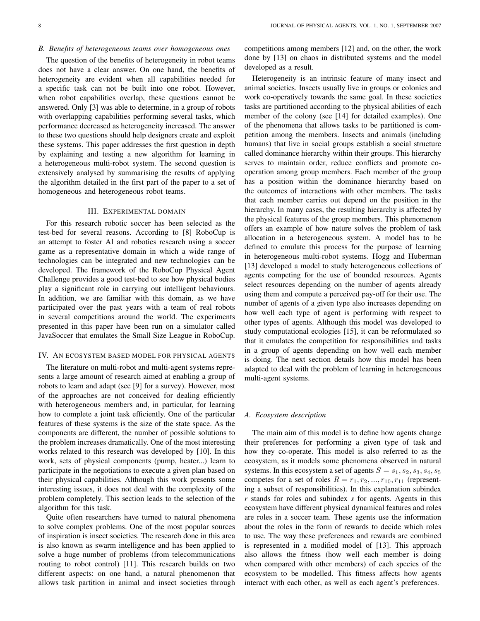## *B. Benefits of heterogeneous teams over homogeneous ones*

The question of the benefits of heterogeneity in robot teams does not have a clear answer. On one hand, the benefits of heterogeneity are evident when all capabilities needed for a specific task can not be built into one robot. However, when robot capabilities overlap, these questions cannot be answered. Only [3] was able to determine, in a group of robots with overlapping capabilities performing several tasks, which performance decreased as heterogeneity increased. The answer to these two questions should help designers create and exploit these systems. This paper addresses the first question in depth by explaining and testing a new algorithm for learning in a heterogeneous multi-robot system. The second question is extensively analysed by summarising the results of applying the algorithm detailed in the first part of the paper to a set of homogeneous and heterogeneous robot teams.

# III. EXPERIMENTAL DOMAIN

For this research robotic soccer has been selected as the test-bed for several reasons. According to [8] RoboCup is an attempt to foster AI and robotics research using a soccer game as a representative domain in which a wide range of technologies can be integrated and new technologies can be developed. The framework of the RoboCup Physical Agent Challenge provides a good test-bed to see how physical bodies play a significant role in carrying out intelligent behaviours. In addition, we are familiar with this domain, as we have participated over the past years with a team of real robots in several competitions around the world. The experiments presented in this paper have been run on a simulator called JavaSoccer that emulates the Small Size League in RoboCup.

#### IV. AN ECOSYSTEM BASED MODEL FOR PHYSICAL AGENTS

The literature on multi-robot and multi-agent systems represents a large amount of research aimed at enabling a group of robots to learn and adapt (see [9] for a survey). However, most of the approaches are not conceived for dealing efficiently with heterogeneous members and, in particular, for learning how to complete a joint task efficiently. One of the particular features of these systems is the size of the state space. As the components are different, the number of possible solutions to the problem increases dramatically. One of the most interesting works related to this research was developed by [10]. In this work, sets of physical components (pump, heater...) learn to participate in the negotiations to execute a given plan based on their physical capabilities. Although this work presents some interesting issues, it does not deal with the complexity of the problem completely. This section leads to the selection of the algorithm for this task.

Quite often researchers have turned to natural phenomena to solve complex problems. One of the most popular sources of inspiration is insect societies. The research done in this area is also known as swarm intelligence and has been applied to solve a huge number of problems (from telecommunications routing to robot control) [11]. This research builds on two different aspects: on one hand, a natural phenomenon that allows task partition in animal and insect societies through

competitions among members [12] and, on the other, the work done by [13] on chaos in distributed systems and the model developed as a result.

Heterogeneity is an intrinsic feature of many insect and animal societies. Insects usually live in groups or colonies and work co-operatively towards the same goal. In these societies tasks are partitioned according to the physical abilities of each member of the colony (see [14] for detailed examples). One of the phenomena that allows tasks to be partitioned is competition among the members. Insects and animals (including humans) that live in social groups establish a social structure called dominance hierarchy within their groups. This hierarchy serves to maintain order, reduce conflicts and promote cooperation among group members. Each member of the group has a position within the dominance hierarchy based on the outcomes of interactions with other members. The tasks that each member carries out depend on the position in the hierarchy. In many cases, the resulting hierarchy is affected by the physical features of the group members. This phenomenon offers an example of how nature solves the problem of task allocation in a heterogeneous system. A model has to be defined to emulate this process for the purpose of learning in heterogeneous multi-robot systems. Hogg and Huberman [13] developed a model to study heterogeneous collections of agents competing for the use of bounded resources. Agents select resources depending on the number of agents already using them and compute a perceived pay-off for their use. The number of agents of a given type also increases depending on how well each type of agent is performing with respect to other types of agents. Although this model was developed to study computational ecologies [15], it can be reformulated so that it emulates the competition for responsibilities and tasks in a group of agents depending on how well each member is doing. The next section details how this model has been adapted to deal with the problem of learning in heterogeneous multi-agent systems.

#### *A. Ecosystem description*

The main aim of this model is to define how agents change their preferences for performing a given type of task and how they co-operate. This model is also referred to as the ecosystem, as it models some phenomena observed in natural systems. In this ecosystem a set of agents  $S = s_1, s_2, s_3, s_4, s_5$ competes for a set of roles  $R = r_1, r_2, ..., r_{10}, r_{11}$  (representing a subset of responsibilities). In this explanation subindex *r* stands for roles and subindex *s* for agents. Agents in this ecosystem have different physical dynamical features and roles are roles in a soccer team. These agents use the information about the roles in the form of rewards to decide which roles to use. The way these preferences and rewards are combined is represented in a modified model of [13]. This approach also allows the fitness (how well each member is doing when compared with other members) of each species of the ecosystem to be modelled. This fitness affects how agents interact with each other, as well as each agent's preferences.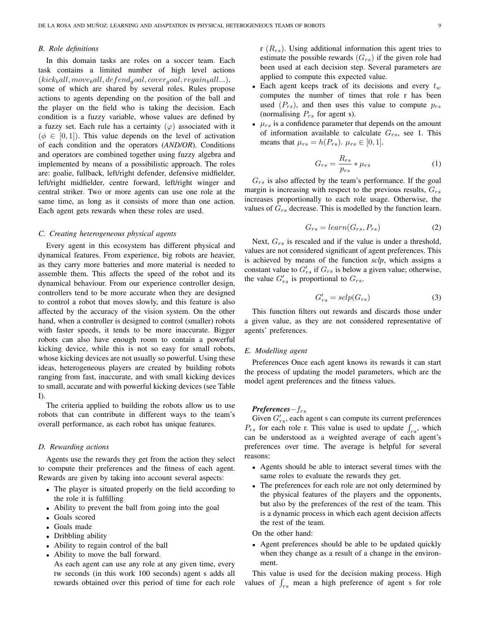#### *B. Role definitions*

In this domain tasks are roles on a soccer team. Each task contains a limited number of high level actions  $(kick<sub>b</sub>all, move<sub>b</sub>all, defined<sub>q</sub>ool, cover<sub>q</sub>ool, regain<sub>b</sub>all...),$ some of which are shared by several roles. Rules propose actions to agents depending on the position of the ball and the player on the field who is taking the decision. Each condition is a fuzzy variable, whose values are defined by a fuzzy set. Each rule has a certainty  $(\varphi)$  associated with it  $(\phi \in [0, 1])$ . This value depends on the level of activation of each condition and the operators (*AND/OR*). Conditions and operators are combined together using fuzzy algebra and implemented by means of a possibilistic approach. The roles are: goalie, fullback, left/right defender, defensive midfielder, left/right midfielder, centre forward, left/right winger and central striker. Two or more agents can use one role at the same time, as long as it consists of more than one action. Each agent gets rewards when these roles are used.

## *C. Creating heterogeneous physical agents*

Every agent in this ecosystem has different physical and dynamical features. From experience, big robots are heavier, as they carry more batteries and more material is needed to assemble them. This affects the speed of the robot and its dynamical behaviour. From our experience controller design, controllers tend to be more accurate when they are designed to control a robot that moves slowly, and this feature is also affected by the accuracy of the vision system. On the other hand, when a controller is designed to control (smaller) robots with faster speeds, it tends to be more inaccurate. Bigger robots can also have enough room to contain a powerful kicking device, while this is not so easy for small robots, whose kicking devices are not usually so powerful. Using these ideas, heterogeneous players are created by building robots ranging from fast, inaccurate, and with small kicking devices to small, accurate and with powerful kicking devices (see Table I).

The criteria applied to building the robots allow us to use robots that can contribute in different ways to the team's overall performance, as each robot has unique features.

# *D. Rewarding actions*

Agents use the rewards they get from the action they select to compute their preferences and the fitness of each agent. Rewards are given by taking into account several aspects:

- The player is situated properly on the field according to the role it is fulfilling
- Ability to prevent the ball from going into the goal
- Goals scored
- Goals made
- Dribbling ability
- Ability to regain control of the ball
- Ability to move the ball forward.
- As each agent can use any role at any given time, every tw seconds (in this work 100 seconds) agent s adds all rewards obtained over this period of time for each role

r  $(R_{rs})$ . Using additional information this agent tries to estimate the possible rewards  $(G_{rs})$  if the given role had been used at each decision step. Several parameters are applied to compute this expected value.

- Each agent keeps track of its decisions and every  $t_w$ computes the number of times that role r has been used  $(P_{rs})$ , and then uses this value to compute  $p_{rs}$ (normalising  $P_{rs}$  for agent s).
- $\mu_{rs}$  is a confidence parameter that depends on the amount of information available to calculate  $G_{rs}$ , see 1. This means that  $\mu_{rs} = h(P_{rs})$ .  $\mu_{rs} \in [0, 1]$ .

$$
G_{rs} = \frac{R_{rs}}{p_{rs}} * \mu_{rs}
$$
 (1)

 $G_{rs}$  is also affected by the team's performance. If the goal margin is increasing with respect to the previous results,  $G_{rs}$ increases proportionally to each role usage. Otherwise, the values of  $G_{rs}$  decrease. This is modelled by the function learn.

$$
G_{rs} = learn(G_{rs}, P_{rs})
$$
 (2)

Next,  $G_{rs}$  is rescaled and if the value is under a threshold, values are not considered significant of agent preferences. This is achieved by means of the function *sclp*, which assigns a constant value to  $G'_{rs}$  if  $G_{rs}$  is below a given value; otherwise, the value  $G'_{rs}$  is proportional to  $G_{rs}$ .

$$
G'_{rs} = \operatorname{sch}(G_{rs})\tag{3}
$$

This function filters out rewards and discards those under a given value, as they are not considered representative of agents' preferences.

#### *E. Modelling agent*

Preferences Once each agent knows its rewards it can start the process of updating the model parameters, which are the model agent preferences and the fitness values.

# *Preferences*−f<sub>rs</sub>

Given  $G'_{rs}$ , each agent s can compute its current preferences  $P_{rs}$  for each role r. This value is used to update  $\int_{rs}$ , which can be understood as a weighted average of each agent's preferences over time. The average is helpful for several reasons:

- Agents should be able to interact several times with the same roles to evaluate the rewards they get.
- The preferences for each role are not only determined by the physical features of the players and the opponents, but also by the preferences of the rest of the team. This is a dynamic process in which each agent decision affects the rest of the team.

On the other hand:

• Agent preferences should be able to be updated quickly when they change as a result of a change in the environment.

This value is used for the decision making process. High values of  $\int_{rs}$  mean a high preference of agent s for role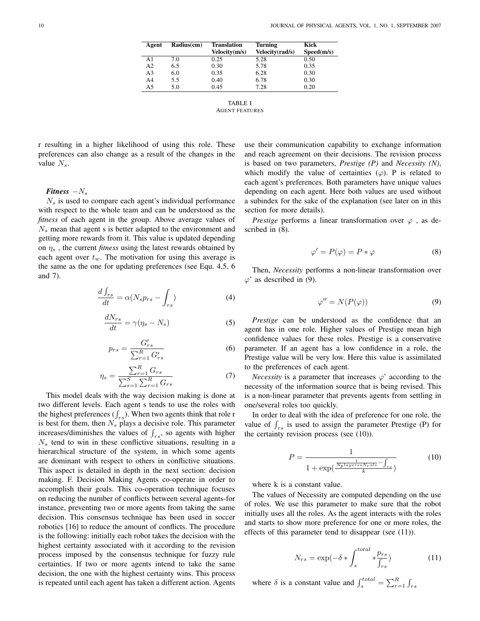| Agent          | Radius(cm) | <b>Translation</b><br>Velocity(m/s) | <b>Turning</b><br>Velocity(rad/s) | Kick<br>Speed(m/s) |
|----------------|------------|-------------------------------------|-----------------------------------|--------------------|
| A1             | 7.0        | 0.25                                | 5.28                              | 0.50               |
| A <sub>2</sub> | 6.5        | 0.30                                | 5.78                              | 0.35               |
| A <sub>3</sub> | 6.0        | 0.35                                | 6.28                              | 0.30               |
| A <sub>4</sub> | 5.5        | 0.40                                | 6.78                              | 0.30               |
| A <sub>5</sub> | 5.0        | 0.45                                | 7.28                              | 0.20               |

TABLE I AGENT FEATURES

r resulting in a higher likelihood of using this role. These preferences can also change as a result of the changes in the value  $N_s$ .

# *Fitness*  $-N_s$

 $N<sub>s</sub>$  is used to compare each agent's individual performance with respect to the whole team and can be understood as the *fitness* of each agent in the group. Above average values of  $N<sub>s</sub>$  mean that agent s is better adapted to the environment and getting more rewards from it. This value is updated depending on  $\eta_s$ , the current *fitness* using the latest rewards obtained by each agent over  $t_w$ . The motivation for using this average is the same as the one for updating preferences (see Equ. 4,5, 6 and 7).

$$
\frac{d\int_{rs}}{dt} = \alpha (N_s p_{rs} - \int_{rs})
$$
\n(4)

$$
\frac{dN_{rs}}{dt} = \gamma(\eta_s - N_s) \tag{5}
$$

$$
p_{rs} = \frac{G'_{rs}}{\sum_{r=1}^{R} G'_{rs}}\tag{6}
$$

$$
\eta_s = \frac{\sum_{r=1}^R G_{rs}}{\sum_{s=1}^S \sum_{r=1}^R G_{rs}} \tag{7}
$$

This model deals with the way decision making is done at two different levels. Each agent s tends to use the roles with the highest preferences  $(\int_{rs})$ . When two agents think that role r is best for them, then  $N_s$  plays a decisive role. This parameter increases/diminishes the values of  $\int_{rs}$ , so agents with higher  $N<sub>s</sub>$  tend to win in these conflictive situations, resulting in a hierarchical structure of the system, in which some agents are dominant with respect to others in conflictive situations. This aspect is detailed in depth in the next section: decision making. F. Decision Making Agents co-operate in order to accomplish their goals. This co-operation technique focuses on reducing the number of conflicts between several agents-for instance, preventing two or more agents from taking the same decision. This consensus technique has been used in soccer robotics [16] to reduce the amount of conflicts. The procedure is the following: initially each robot takes the decision with the highest certainty associated with it according to the revision process imposed by the consensus technique for fuzzy rule certainties. If two or more agents intend to take the same decision, the one with the highest certainty wins. This process is repeated until each agent has taken a different action. Agents

use their communication capability to exchange information and reach agreement on their decisions. The revision process is based on two parameters, *Prestige (P)* and *Necessity (N)*, which modify the value of certainties  $(\varphi)$ . P is related to each agent's preferences. Both parameters have unique values depending on each agent. Here both values are used without a subindex for the sake of the explanation (see later on in this section for more details).

*Prestige* performs a linear transformation over  $\varphi$ , as described in (8).

$$
\varphi' = P(\varphi) = P * \varphi \tag{8}
$$

Then, *Necessity* performs a non-linear transformation over  $\varphi'$  as described in (9).

$$
\varphi'' = N(P(\varphi))\tag{9}
$$

*Prestige* can be understood as the confidence that an agent has in one role. Higher values of Prestige mean high confidence values for these roles. Prestige is a conservative parameter. If an agent has a low confidence in a role, the Prestige value will be very low. Here this value is assimilated to the preferences of each agent.

*Necessity* is a parameter that increases  $\varphi$ ' according to the necessity of the information source that is being revised. This is a non-linear parameter that prevents agents from settling in one/several roles too quickly.

In order to deal with the idea of preference for one role, the value of  $\int_{rs}$  is used to assign the parameter Prestige (P) for the certainty revision process (see (10)).

$$
P = \frac{1}{1 + \exp(\frac{\frac{1}{N_{p} \log e r s * N_{r} \text{ols}} - \int_{r s}}{k})}
$$
(10)

where k is a constant value.

The values of Necessity are computed depending on the use of roles. We use this parameter to make sure that the robot initially uses all the roles. As the agent interacts with the roles and starts to show more preference for one or more roles, the effects of this parameter tend to disappear (see (11)).

$$
N_{rs} = \exp(-\delta * \int_{s}^{total} * \frac{p_{rs}}{f_{rs}})
$$
 (11)

where  $\delta$  is a constant value and  $\int_s^{total} = \sum_{r=1}^R \int_{rs}$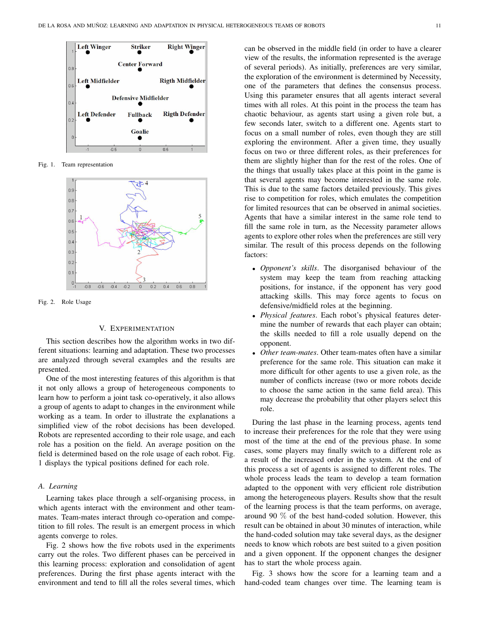

Fig. 1. Team representation



Fig. 2. Role Usage

#### V. EXPERIMENTATION

This section describes how the algorithm works in two different situations: learning and adaptation. These two processes are analyzed through several examples and the results are presented.

One of the most interesting features of this algorithm is that it not only allows a group of heterogeneous components to learn how to perform a joint task co-operatively, it also allows a group of agents to adapt to changes in the environment while working as a team. In order to illustrate the explanations a simplified view of the robot decisions has been developed. Robots are represented according to their role usage, and each role has a position on the field. An average position on the field is determined based on the role usage of each robot. Fig. 1 displays the typical positions defined for each role.

# *A. Learning*

Learning takes place through a self-organising process, in which agents interact with the environment and other teammates. Team-mates interact through co-operation and competition to fill roles. The result is an emergent process in which agents converge to roles.

Fig. 2 shows how the five robots used in the experiments carry out the roles. Two different phases can be perceived in this learning process: exploration and consolidation of agent preferences. During the first phase agents interact with the environment and tend to fill all the roles several times, which can be observed in the middle field (in order to have a clearer view of the results, the information represented is the average of several periods). As initially, preferences are very similar, the exploration of the environment is determined by Necessity, one of the parameters that defines the consensus process. Using this parameter ensures that all agents interact several times with all roles. At this point in the process the team has chaotic behaviour, as agents start using a given role but, a few seconds later, switch to a different one. Agents start to focus on a small number of roles, even though they are still exploring the environment. After a given time, they usually focus on two or three different roles, as their preferences for them are slightly higher than for the rest of the roles. One of the things that usually takes place at this point in the game is that several agents may become interested in the same role. This is due to the same factors detailed previously. This gives rise to competition for roles, which emulates the competition for limited resources that can be observed in animal societies. Agents that have a similar interest in the same role tend to fill the same role in turn, as the Necessity parameter allows agents to explore other roles when the preferences are still very similar. The result of this process depends on the following factors:

- *Opponent's skills*. The disorganised behaviour of the system may keep the team from reaching attacking positions, for instance, if the opponent has very good attacking skills. This may force agents to focus on defensive/midfield roles at the beginning.
- *Physical features*. Each robot's physical features determine the number of rewards that each player can obtain; the skills needed to fill a role usually depend on the opponent.
- *Other team-mates*. Other team-mates often have a similar preference for the same role. This situation can make it more difficult for other agents to use a given role, as the number of conflicts increase (two or more robots decide to choose the same action in the same field area). This may decrease the probability that other players select this role.

During the last phase in the learning process, agents tend to increase their preferences for the role that they were using most of the time at the end of the previous phase. In some cases, some players may finally switch to a different role as a result of the increased order in the system. At the end of this process a set of agents is assigned to different roles. The whole process leads the team to develop a team formation adapted to the opponent with very efficient role distribution among the heterogeneous players. Results show that the result of the learning process is that the team performs, on average, around 90 % of the best hand-coded solution. However, this result can be obtained in about 30 minutes of interaction, while the hand-coded solution may take several days, as the designer needs to know which robots are best suited to a given position and a given opponent. If the opponent changes the designer has to start the whole process again.

Fig. 3 shows how the score for a learning team and a hand-coded team changes over time. The learning team is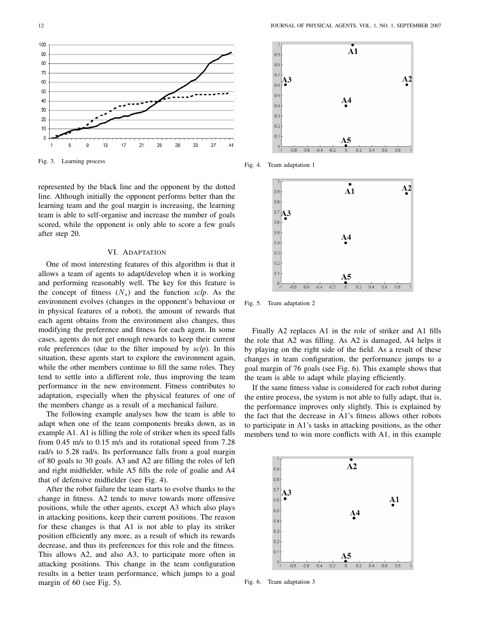

Fig. 3. Learning process

represented by the black line and the opponent by the dotted line. Although initially the opponent performs better than the learning team and the goal margin is increasing, the learning team is able to self-organise and increase the number of goals scored, while the opponent is only able to score a few goals after step 20.

#### VI. ADAPTATION

One of most interesting features of this algorithm is that it allows a team of agents to adapt/develop when it is working and performing reasonably well. The key for this feature is the concept of fitness  $(N_s)$  and the function *sclp*. As the environment evolves (changes in the opponent's behaviour or in physical features of a robot), the amount of rewards that each agent obtains from the environment also changes, thus modifying the preference and fitness for each agent. In some cases, agents do not get enough rewards to keep their current role preferences (due to the filter imposed by *sclp*). In this situation, these agents start to explore the environment again, while the other members continue to fill the same roles. They tend to settle into a different role, thus improving the team performance in the new environment. Fitness contributes to adaptation, especially when the physical features of one of the members change as a result of a mechanical failure.

The following example analyses how the team is able to adapt when one of the team components breaks down, as in example A1. A1 is filling the role of striker when its speed falls from 0.45 m/s to 0.15 m/s and its rotational speed from 7.28 rad/s to 5.28 rad/s. Its performance falls from a goal margin of 80 goals to 30 goals. A3 and A2 are filling the roles of left and right midfielder, while A5 fills the role of goalie and A4 that of defensive midfielder (see Fig. 4).

After the robot failure the team starts to evolve thanks to the change in fitness. A2 tends to move towards more offensive positions, while the other agents, except A3 which also plays in attacking positions, keep their current positions. The reason for these changes is that A1 is not able to play its striker position efficiently any more, as a result of which its rewards decrease, and thus its preferences for this role and the fitness. This allows A2, and also A3, to participate more often in attacking positions. This change in the team configuration results in a better team performance, which jumps to a goal margin of 60 (see Fig. 5).



Fig. 4. Team adaptation 1



Fig. 5. Team adaptation 2

Finally A2 replaces A1 in the role of striker and A1 fills the role that A2 was filling. As A2 is damaged, A4 helps it by playing on the right side of the field. As a result of these changes in team configuration, the performance jumps to a goal margin of 76 goals (see Fig. 6). This example shows that the team is able to adapt while playing efficiently.

If the same fitness value is considered for each robot during the entire process, the system is not able to fully adapt, that is, the performance improves only slightly. This is explained by the fact that the decrease in A1's fitness allows other robots to participate in A1's tasks in attacking positions, as the other members tend to win more conflicts with A1, in this example



Fig. 6. Team adaptation 3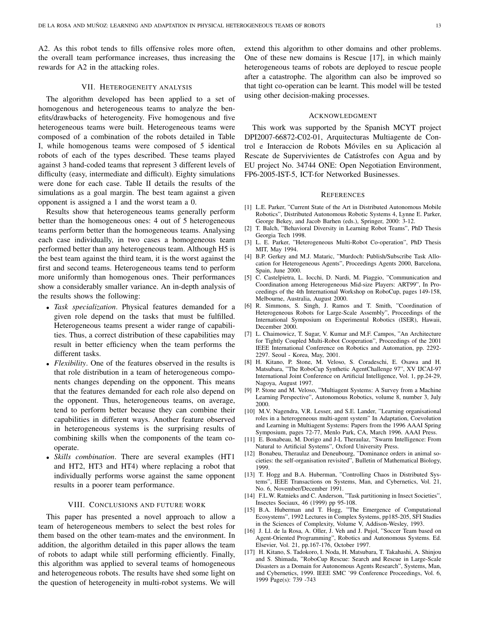A2. As this robot tends to fills offensive roles more often, the overall team performance increases, thus increasing the rewards for A2 in the attacking roles.

# VII. HETEROGENEITY ANALYSIS

The algorithm developed has been applied to a set of homogenous and heterogeneous teams to analyze the benefits/drawbacks of heterogeneity. Five homogenous and five heterogeneous teams were built. Heterogeneous teams were composed of a combination of the robots detailed in Table I, while homogenous teams were composed of 5 identical robots of each of the types described. These teams played against 3 hand-coded teams that represent 3 different levels of difficulty (easy, intermediate and difficult). Eighty simulations were done for each case. Table II details the results of the simulations as a goal margin. The best team against a given opponent is assigned a 1 and the worst team a 0.

Results show that heterogeneous teams generally perform better than the homogeneous ones: 4 out of 5 heterogeneous teams perform better than the homogeneous teams. Analysing each case individually, in two cases a homogeneous team performed better than any heterogeneous team. Although H5 is the best team against the third team, it is the worst against the first and second teams. Heterogeneous teams tend to perform more uniformly than homogenous ones. Their performances show a considerably smaller variance. An in-depth analysis of the results shows the following:

- *Task specialization*. Physical features demanded for a given role depend on the tasks that must be fulfilled. Heterogeneous teams present a wider range of capabilities. Thus, a correct distribution of these capabilities may result in better efficiency when the team performs the different tasks.
- *Flexibility*. One of the features observed in the results is that role distribution in a team of heterogeneous components changes depending on the opponent. This means that the features demanded for each role also depend on the opponent. Thus, heterogeneous teams, on average, tend to perform better because they can combine their capabilities in different ways. Another feature observed in heterogeneous systems is the surprising results of combining skills when the components of the team cooperate.
- *Skills combination*. There are several examples (HT1 and HT2, HT3 and HT4) where replacing a robot that individually performs worse against the same opponent results in a poorer team performance.

# VIII. CONCLUSIONS AND FUTURE WORK

This paper has presented a novel approach to allow a team of heterogeneous members to select the best roles for them based on the other team-mates and the environment. In addition, the algorithm detailed in this paper allows the team of robots to adapt while still performing efficiently. Finally, this algorithm was applied to several teams of homogeneous and heterogeneous robots. The results have shed some light on the question of heterogeneity in multi-robot systems. We will

extend this algorithm to other domains and other problems. One of these new domains is Rescue [17], in which mainly heterogeneous teams of robots are deployed to rescue people after a catastrophe. The algorithm can also be improved so that tight co-operation can be learnt. This model will be tested using other decision-making processes.

#### ACKNOWLEDGMENT

This work was supported by the Spanish MCYT project DPI2007-66872-C02-01, Arquitecturas Multiagente de Control e Interaccion de Robots Móviles en su Aplicación al Rescate de Supervivientes de Catástrofes con Agua and by EU project No. 34744 ONE: Open Negotiation Environment, FP6-2005-IST-5, ICT-for Networked Businesses.

## **REFERENCES**

- [1] L.E. Parker, "Current State of the Art in Distributed Autonomous Mobile Robotics", Distributed Autonomous Robotic Systems 4, Lynne E. Parker, George Bekey, and Jacob Barhen (eds.), Springer, 2000: 3-12.
- [2] T. Balch, "Behavioral Diversity in Learning Robot Teams", PhD Thesis Georgia Tech 1998.
- [3] L. E. Parker, "Heterogeneous Multi-Robot Co-operation", PhD Thesis MIT, May 1994.
- [4] B.P. Gerkey and M.J. Mataric, "Murdoch: Publish/Subscribe Task Allocation for Heterogeneous Agents", Proceedings Agents 2000, Barcelona, Spain, June 2000.
- [5] C. Castelpietra, L. Iocchi, D. Nardi, M. Piaggio, "Communication and Coordination among Heterogeneous Mid-size Players: ART99", In Proceedings of the 4th International Workshop on RoboCup, pages 149-158, Melbourne, Australia, August 2000.
- [6] R. Simmons, S. Singh, J. Ramos and T. Smith, "Coordination of Heterogeneous Robots for Large-Scale Assembly", Proceedings of the International Symposium on Experimental Robotics (ISER), Hawaii, December 2000.
- [7] L. Chaimowicz, T. Sugar, V. Kumar and M.F. Campos, "An Architecture for Tightly Coupled Multi-Robot Cooperation", Proceedings of the 2001 IEEE International Conference on Robotics and Automation, pp. 2292- 2297. Seoul - Korea, May, 2001.
- [8] H. Kitano, P. Stone, M. Veloso, S. Coradeschi, E. Osawa and H. Matsubara, "The RoboCup Synthetic AgentChallenge 97", XV IJCAI-97 International Joint Conference on Artificial Intelligence, Vol. 1, pp.24-29, Nagoya, August 1997.
- [9] P. Stone and M. Veloso, "Multiagent Systems: A Survey from a Machine Learning Perspective", Autonomous Robotics, volume 8, number 3, July 2000.
- [10] M.V. Nagendra, V.R. Lesser, and S.E. Lander, "Learning organisational roles in a heterogeneous multi-agent system" In Adaptation, Coevolution and Learning in Multiagent Systems: Papers from the 1996 AAAI Spring Symposium, pages 72-77, Menlo Park, CA, March 1996. AAAI Press.
- [11] E. Bonabeau, M. Dorigo and J-L Theraulaz, "Swarm Intelligence: From Natural to Artificial Systems", Oxford University Press.
- [12] Bonabeu, Theraulaz and Deneubourg, "Dominance orders in animal societies: the self-organisation revisited", Bulletin of Mathematical Biology, 1999.
- [13] T. Hogg and B.A. Huberman, "Controlling Chaos in Distributed Systems", IEEE Transactions on Systems, Man, and Cybernetics, Vol. 21, No. 6, November/December 1991.
- [14] F.L.W. Ratnieks and C. Anderson, "Task partitioning in Insect Societies", Insectes Sociaux, 46 (1999) pp 95-108.
- [15] B.A. Huberman and T. Hogg, "The Emergence of Computational Ecosystems", 1992 Lectures in Complex Systems, pp185-205, SFI Studies in the Sciences of Complexity, Volume V, Addison-Wesley, 1993.
- [16] J. Ll. de la Rosa, A. Oller, J. Veh and J. Pujol, "Soccer Team based on Agent-Oriented Programming", Robotics and Autonomous Systems. Ed. Elsevier, Vol. 21, pp.167-176, October 1997.
- [17] H. Kitano, S. Tadokoro, I. Noda, H. Matsubara, T. Takahashi, A. Shinjou and S. Shimada, "RoboCup Rescue: Search and Rescue in Large-Scale Disasters as a Domain for Autonomous Agents Research", Systems, Man, and Cybernetics, 1999. IEEE SMC '99 Conference Proceedings, Vol. 6, 1999 Page(s): 739 -743